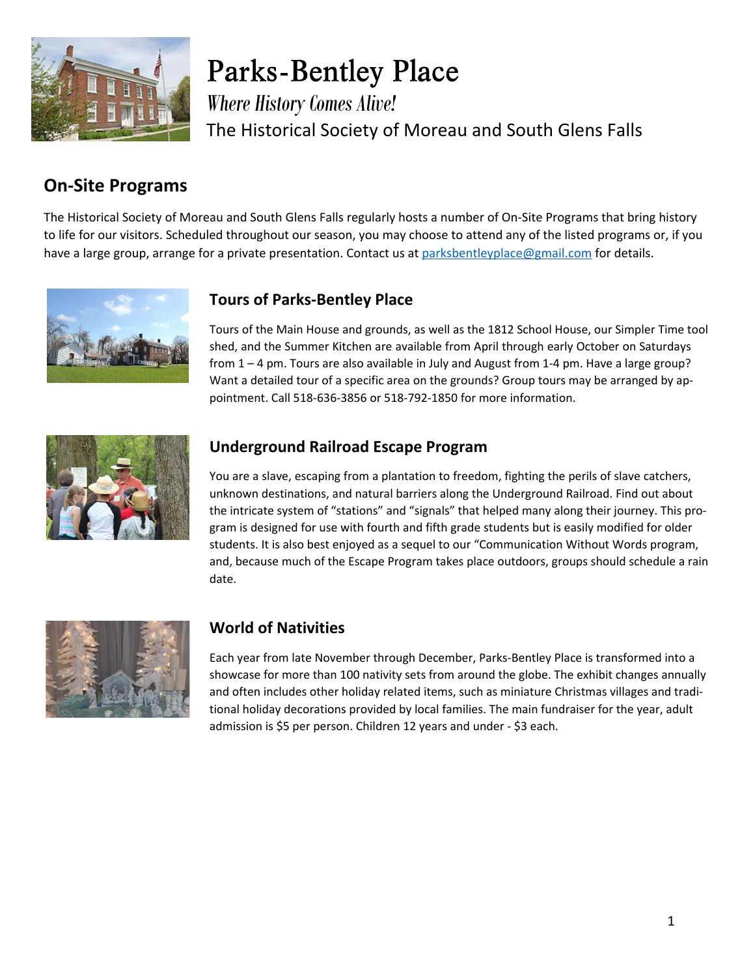

**Parks-Bentley Place** *Where History Comes Alive!* The Historical Society of Moreau and South Glens Falls

## **On-Site Programs**

The Historical Society of Moreau and South Glens Falls regularly hosts a number of On-Site Programs that bring history to life for our visitors. Scheduled throughout our season, you may choose to attend any of the listed programs or, if you have a large group, arrange for a private presentation. Contact us at parksbentleyplace@gmail.com for details.



### **Tours of Parks-Bentley Place**

Tours of the Main House and grounds, as well as the 1812 School House, our Simpler Time tool shed, and the Summer Kitchen are available from April through early October on Saturdays from  $1 - 4$  pm. Tours are also available in July and August from  $1 - 4$  pm. Have a large group? Want a detailed tour of a specific area on the grounds? Group tours may be arranged by appointment. Call 518-636-3856 or 518-792-1850 for more information.



#### **Underground Railroad Escape Program**

You are a slave, escaping from a plantation to freedom, fighting the perils of slave catchers, unknown destinations, and natural barriers along the Underground Railroad. Find out about the intricate system of "stations" and "signals" that helped many along their journey. This pro gram is designed for use with fourth and fifth grade students but is easily modified for older students. It is also best enjoyed as a sequel to our "Communication Without Words program, and, because much of the Escape Program takes place outdoors, groups should schedule a rain date.



### **World of Nativities**

Each year from late November through December, Parks-Bentley Place is transformed into a showcase for more than 100 nativity sets from around the globe. The exhibit changes annually and often includes other holiday related items, such as miniature Christmas villages and tradi tional holiday decorations provided by local families. The main fundraiser for the year, adult admission is \$5 per person. Children 12 years and under - \$3 each.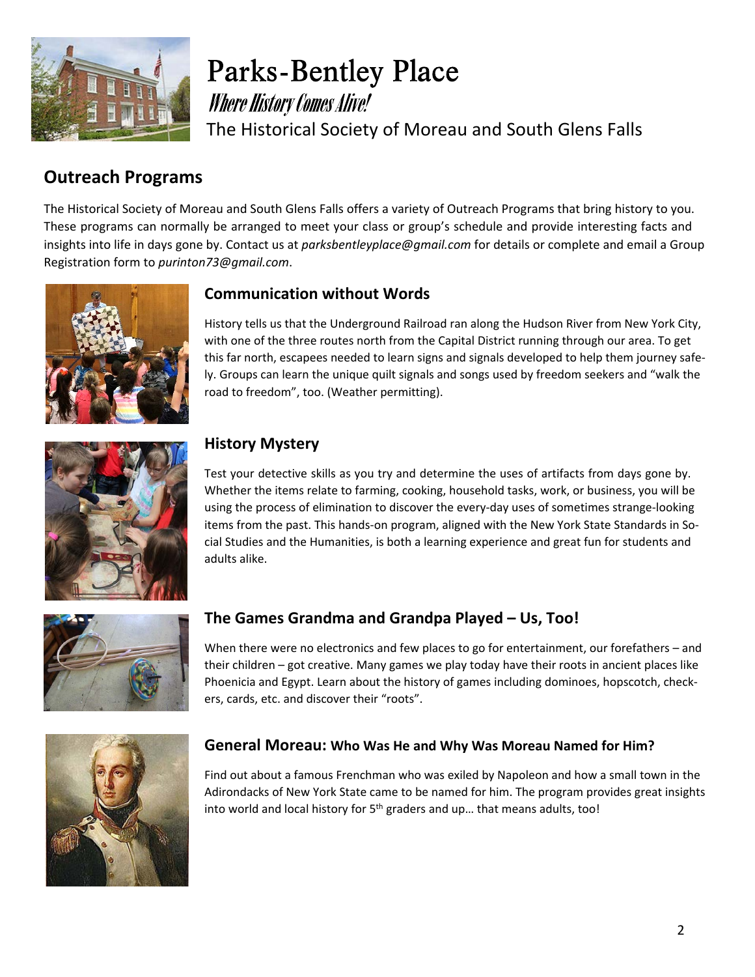

**Parks-Bentley Place Where History Comes Alive!** The Historical Society of Moreau and South Glens Falls

# **Outreach Programs**

The Historical Society of Moreau and South Glens Falls offers a variety of Outreach Programs that bring history to you. These programs can normally be arranged to meet your class or group's schedule and provide interesting facts and insights into life in days gone by. Contact us at*parksbentleyplace@gmail.com*for details or complete and email a Group Registration form to*purinton73@gmail.com*.



### **Communication without Words**

History tells us that the Underground Railroad ran along the Hudson River from New York City, with one of the three routes north from the Capital District running through our area. To get this far north, escapees needed to learn signs and signals developed to help them journey safe ly. Groups can learn the unique quilt signals and songs used by freedom seekers and "walk the road to freedom", too. (Weather permitting).



### **History Mystery**

Test your detective skills as you try and determine the uses of artifacts from days gone by. Whether the items relate to farming, cooking, household tasks, work, or business, you will be using the process of elimination to discover the every-day uses of sometimes strange-looking items from the past. This hands-on program, aligned with the New York State Standards in So cial Studies and the Humanities, is both a learning experience and great fun for students and adults alike.



### **The Games Grandma and Grandpa Played – Us, Too!**

When there were no electronics and few places to go for entertainment, our forefathers – and their children – got creative. Many games we play today have their roots in ancient places like Phoenicia and Egypt. Learn about the history of games including dominoes, hopscotch, check ers, cards, etc. and discover their "roots".



#### **General Moreau:Who Was He and Why Was Moreau Named for Him?**

Find out about a famous Frenchman who was exiled by Napoleon and how a small town in the Adirondacks of New York State came to be named for him. The program provides great insights into world and local history for 5<sup>th</sup> graders and up... that means adults, too!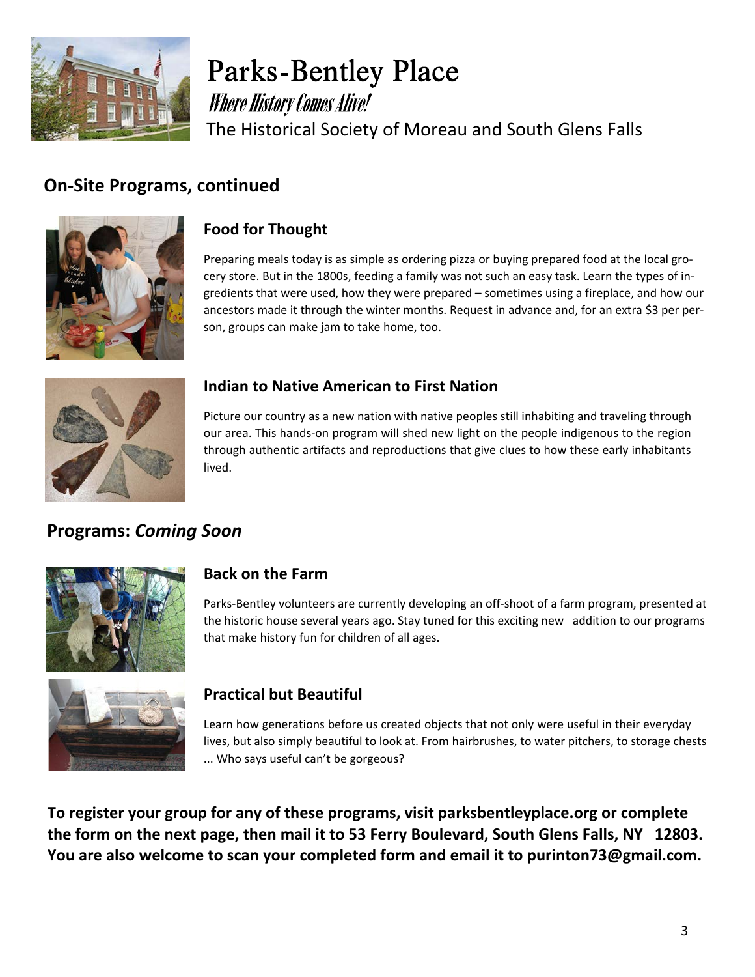

**Parks-Bentley Place Where History Comes Alive!** The Historical Society of Moreau and South Glens Falls

### **On-Site Programs, continued**



### **Food for Thought**

Preparing meals today is as simple as ordering pizza or buying prepared food at the local gro cery store. But in the 1800s, feeding a family was not such an easy task. Learn the types of in gredients that were used, how they were prepared – sometimes using a fireplace, and how our ancestors made it through the winter months. Request in advance and, for an extra \$3 per per son, groups can make jam to take home, too.



### **Indian to Native American to First Nation**

Picture our country as a new nation with native peoples still inhabiting and traveling through our area. This hands-on program will shed new light on the people indigenous to the region through authentic artifacts and reproductions that give clues to how these early inhabitants lived.

## **Programs:***Coming Soon*



### **Back on the Farm**

Parks-Bentley volunteers are currently developing an off-shoot of a farm program, presented at the historic house several years ago. Stay tuned for this exciting new addition to our programs that make history fun for children of all ages.



### **Practical but Beautiful**

Learn how generations before us created objects that not only were useful in their everyday lives, but also simply beautiful to look at. From hairbrushes, to water pitchers, to storage chests ... Who says useful can't be gorgeous?

**To register your group for any of these programs, visit parksbentleyplace.org or complete the form on the next page, then mail it to 53 Ferry Boulevard, South Glens Falls, NY 12803. You are also welcome to scan your completed form and email it to purinton73@gmail.com.**